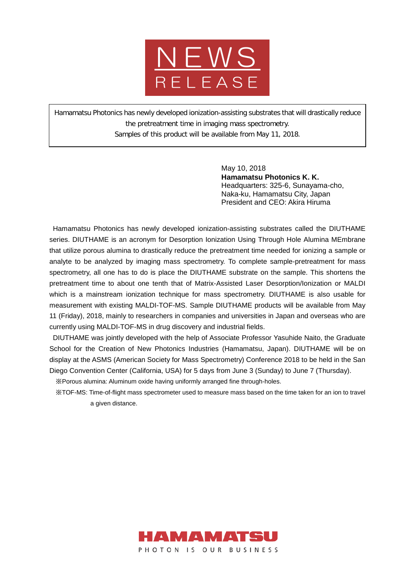

Hamamatsu Photonics has newly developed ionization-assisting substrates that will drastically reduce the pretreatment time in imaging mass spectrometry. Samples of this product will be available from May 11, 2018.

> May 10, 2018 **Hamamatsu Photonics K. K.** Headquarters: 325-6, Sunayama-cho, Naka-ku, Hamamatsu City, Japan President and CEO: Akira Hiruma

Hamamatsu Photonics has newly developed ionization-assisting substrates called the DIUTHAME series. DIUTHAME is an acronym for Desorption Ionization Using Through Hole Alumina MEmbrane that utilize porous alumina to drastically reduce the pretreatment time needed for ionizing a sample or analyte to be analyzed by imaging mass spectrometry. To complete sample-pretreatment for mass spectrometry, all one has to do is place the DIUTHAME substrate on the sample. This shortens the pretreatment time to about one tenth that of Matrix-Assisted Laser Desorption/Ionization or MALDI which is a mainstream ionization technique for mass spectrometry. DIUTHAME is also usable for measurement with existing MALDI-TOF-MS. Sample DIUTHAME products will be available from May 11 (Friday), 2018, mainly to researchers in companies and universities in Japan and overseas who are currently using MALDI-TOF-MS in drug discovery and industrial fields.

DIUTHAME was jointly developed with the help of Associate Professor Yasuhide Naito, the Graduate School for the Creation of New Photonics Industries (Hamamatsu, Japan). DIUTHAME will be on display at the ASMS (American Society for Mass Spectrometry) Conference 2018 to be held in the San Diego Convention Center (California, USA) for 5 days from June 3 (Sunday) to June 7 (Thursday).

※Porous alumina: Aluminum oxide having uniformly arranged fine through-holes.

※TOF-MS: Time-of-flight mass spectrometer used to measure mass based on the time taken for an ion to travel a given distance.

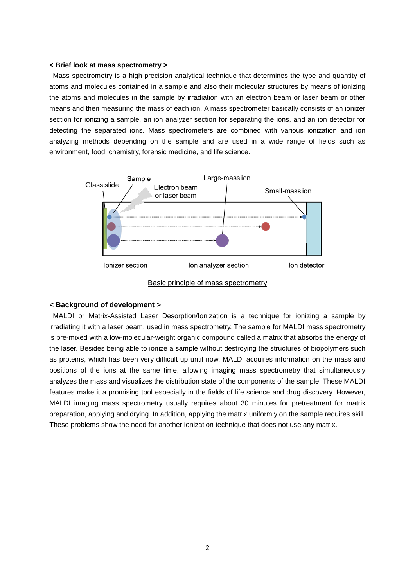#### **< Brief look at mass spectrometry >**

Mass spectrometry is a high-precision analytical technique that determines the type and quantity of atoms and molecules contained in a sample and also their molecular structures by means of ionizing the atoms and molecules in the sample by irradiation with an electron beam or laser beam or other means and then measuring the mass of each ion. A mass spectrometer basically consists of an ionizer section for ionizing a sample, an ion analyzer section for separating the ions, and an ion detector for detecting the separated ions. Mass spectrometers are combined with various ionization and ion analyzing methods depending on the sample and are used in a wide range of fields such as environment, food, chemistry, forensic medicine, and life science.



Basic principle of mass spectrometry

### **< Background of development >**

MALDI or Matrix-Assisted Laser Desorption/Ionization is a technique for ionizing a sample by irradiating it with a laser beam, used in mass spectrometry. The sample for MALDI mass spectrometry is pre-mixed with a low-molecular-weight organic compound called a matrix that absorbs the energy of the laser. Besides being able to ionize a sample without destroying the structures of biopolymers such as proteins, which has been very difficult up until now, MALDI acquires information on the mass and positions of the ions at the same time, allowing imaging mass spectrometry that simultaneously analyzes the mass and visualizes the distribution state of the components of the sample. These MALDI features make it a promising tool especially in the fields of life science and drug discovery. However, MALDI imaging mass spectrometry usually requires about 30 minutes for pretreatment for matrix preparation, applying and drying. In addition, applying the matrix uniformly on the sample requires skill. These problems show the need for another ionization technique that does not use any matrix.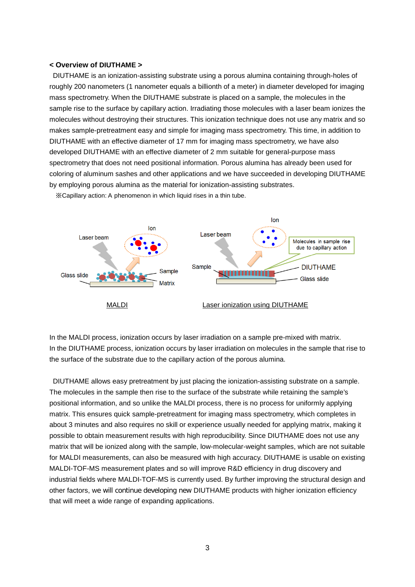### **< Overview of DIUTHAME >**

DIUTHAME is an ionization-assisting substrate using a porous alumina containing through-holes of roughly 200 nanometers (1 nanometer equals a billionth of a meter) in diameter developed for imaging mass spectrometry. When the DIUTHAME substrate is placed on a sample, the molecules in the sample rise to the surface by capillary action. Irradiating those molecules with a laser beam ionizes the molecules without destroying their structures. This ionization technique does not use any matrix and so makes sample-pretreatment easy and simple for imaging mass spectrometry. This time, in addition to DIUTHAME with an effective diameter of 17 mm for imaging mass spectrometry, we have also developed DIUTHAME with an effective diameter of 2 mm suitable for general-purpose mass spectrometry that does not need positional information. Porous alumina has already been used for coloring of aluminum sashes and other applications and we have succeeded in developing DIUTHAME by employing porous alumina as the material for ionization-assisting substrates.



※Capillary action: A phenomenon in which liquid rises in a thin tube.

In the MALDI process, ionization occurs by laser irradiation on a sample pre-mixed with matrix. In the DIUTHAME process, ionization occurs by laser irradiation on molecules in the sample that rise to the surface of the substrate due to the capillary action of the porous alumina.

DIUTHAME allows easy pretreatment by just placing the ionization-assisting substrate on a sample. The molecules in the sample then rise to the surface of the substrate while retaining the sample's positional information, and so unlike the MALDI process, there is no process for uniformly applying matrix. This ensures quick sample-pretreatment for imaging mass spectrometry, which completes in about 3 minutes and also requires no skill or experience usually needed for applying matrix, making it possible to obtain measurement results with high reproducibility. Since DIUTHAME does not use any matrix that will be ionized along with the sample, low-molecular-weight samples, which are not suitable for MALDI measurements, can also be measured with high accuracy. DIUTHAME is usable on existing MALDI-TOF-MS measurement plates and so will improve R&D efficiency in drug discovery and industrial fields where MALDI-TOF-MS is currently used. By further improving the structural design and other factors, we will continue developing new DIUTHAME products with higher ionization efficiency that will meet a wide range of expanding applications.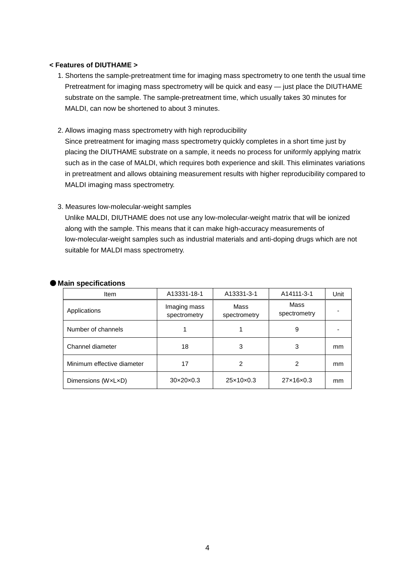## **< Features of DIUTHAME >**

- 1. Shortens the sample-pretreatment time for imaging mass spectrometry to one tenth the usual time Pretreatment for imaging mass spectrometry will be quick and easy - just place the DIUTHAME substrate on the sample. The sample-pretreatment time, which usually takes 30 minutes for MALDI, can now be shortened to about 3 minutes.
- 2. Allows imaging mass spectrometry with high reproducibility

Since pretreatment for imaging mass spectrometry quickly completes in a short time just by placing the DIUTHAME substrate on a sample, it needs no process for uniformly applying matrix such as in the case of MALDI, which requires both experience and skill. This eliminates variations in pretreatment and allows obtaining measurement results with higher reproducibility compared to MALDI imaging mass spectrometry.

# 3. Measures low-molecular-weight samples

Unlike MALDI, DIUTHAME does not use any low-molecular-weight matrix that will be ionized along with the sample. This means that it can make high-accuracy measurements of low-molecular-weight samples such as industrial materials and anti-doping drugs which are not suitable for MALDI mass spectrometry.

|  | ● Main specifications |
|--|-----------------------|
|  |                       |

| Item                       | A13331-18-1                  | A13331-3-1            | A14111-3-1           | Unit |
|----------------------------|------------------------------|-----------------------|----------------------|------|
| Applications               | Imaging mass<br>spectrometry | Mass<br>spectrometry  | Mass<br>spectrometry |      |
| Number of channels         |                              |                       | 9                    |      |
| Channel diameter           | 18                           | 3                     | 3                    | mm   |
| Minimum effective diameter | 17                           | 2                     | 2                    | mm   |
| Dimensions (WxLxD)         | $30\times20\times0.3$        | $25\times10\times0.3$ | 27×16×0.3            | mm   |